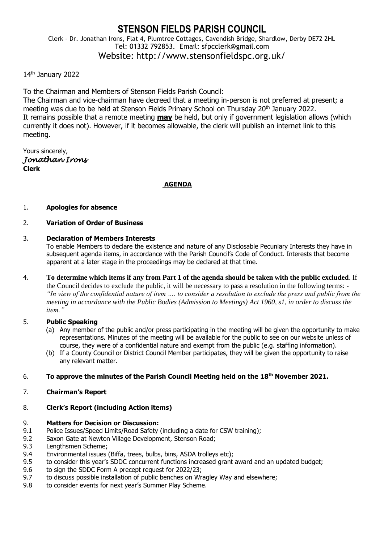# **STENSON FIELDS PARISH COUNCIL** Clerk – Dr. Jonathan Irons, Flat 4, Plumtree Cottages, Cavendish Bridge, Shardlow, Derby DE72 2HL Tel: 01332 792853. Email: sfpcclerk@gmail.com Website: http://www.stensonfieldspc.org.uk/

### 14th January 2022

To the Chairman and Members of Stenson Fields Parish Council:

The Chairman and vice-chairman have decreed that a meeting in-person is not preferred at present; a meeting was due to be held at Stenson Fields Primary School on Thursday 20<sup>th</sup> January 2022. It remains possible that a remote meeting **may** be held, but only if government legislation allows (which currently it does not). However, if it becomes allowable, the clerk will publish an internet link to this meeting.

Yours sincerely, *Jonathan Irons*  **Clerk**

### **AGENDA**

#### 1. **Apologies for absence**

### 2. **Variation of Order of Business**

#### 3. **Declaration of Members Interests**

To enable Members to declare the existence and nature of any Disclosable Pecuniary Interests they have in subsequent agenda items, in accordance with the Parish Council's Code of Conduct. Interests that become apparent at a later stage in the proceedings may be declared at that time.

4. **To determine which items if any from Part 1 of the agenda should be taken with the public excluded**. If the Council decides to exclude the public, it will be necessary to pass a resolution in the following terms: - *"In view of the confidential nature of item …. to consider a resolution to exclude the press and public from the meeting in accordance with the Public Bodies (Admission to Meetings) Act 1960, s1, in order to discuss the item."* 

### 5. **Public Speaking**

- (a) Any member of the public and/or press participating in the meeting will be given the opportunity to make representations. Minutes of the meeting will be available for the public to see on our website unless of course, they were of a confidential nature and exempt from the public (e.g. staffing information).
- (b) If a County Council or District Council Member participates, they will be given the opportunity to raise any relevant matter.

### 6. **To approve the minutes of the Parish Council Meeting held on the 18th November 2021.**

7. **Chairman's Report**

# 8. **Clerk's Report (including Action items)**

# 9. **Matters for Decision or Discussion:**

- 9.1 Police Issues/Speed Limits/Road Safety (including a date for CSW training);
- 9.2 Saxon Gate at Newton Village Development, Stenson Road;
- 9.3 Lengthsmen Scheme;
- 9.4 Environmental issues (Biffa, trees, bulbs, bins, ASDA trolleys etc);
- 9.5 to consider this year's SDDC concurrent functions increased grant award and an updated budget;
- 9.6 to sign the SDDC Form A precept request for 2022/23;
- 9.7 to discuss possible installation of public benches on Wragley Way and elsewhere;
- 9.8 to consider events for next year's Summer Play Scheme.